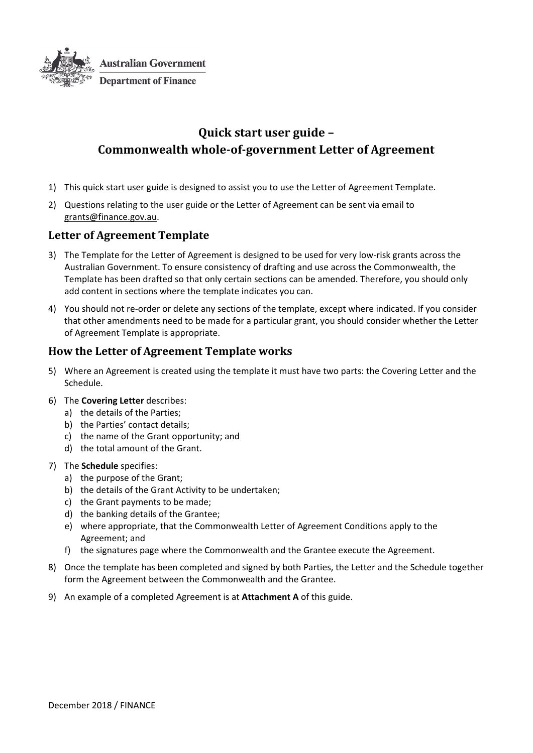

# **Quick start user guide – Commonwealth whole‐of‐government Letter of Agreement**

- 1) This quick start user guide is designed to assist you to use the Letter of Agreement Template.
- 2) Questions relating to the user guide or the Letter of Agreement can be sent via email to grants@finance.gov.au.

### **Letter of Agreement Template**

- 3) The Template for the Letter of Agreement is designed to be used for very low-risk grants across the Australian Government. To ensure consistency of drafting and use across the Commonwealth, the Template has been drafted so that only certain sections can be amended. Therefore, you should only add content in sections where the template indicates you can.
- 4) You should not re-order or delete any sections of the template, except where indicated. If you consider that other amendments need to be made for a particular grant, you should consider whether the Letter of Agreement Template is appropriate.

## **How the Letter of Agreement Template works**

- 5) Where an Agreement is created using the template it must have two parts: the Covering Letter and the Schedule.
- 6) The **Covering Letter** describes:
	- a) the details of the Parties;
	- b) the Parties' contact details;
	- c) the name of the Grant opportunity; and
	- d) the total amount of the Grant.

#### 7) The **Schedule** specifies:

- a) the purpose of the Grant;
- b) the details of the Grant Activity to be undertaken;
- c) the Grant payments to be made;
- d) the banking details of the Grantee;
- e) where appropriate, that the Commonwealth Letter of Agreement Conditions apply to the Agreement; and
- f) the signatures page where the Commonwealth and the Grantee execute the Agreement.
- 8) Once the template has been completed and signed by both Parties, the Letter and the Schedule together form the Agreement between the Commonwealth and the Grantee.
- 9) An example of a completed Agreement is at **Attachment A** of this guide.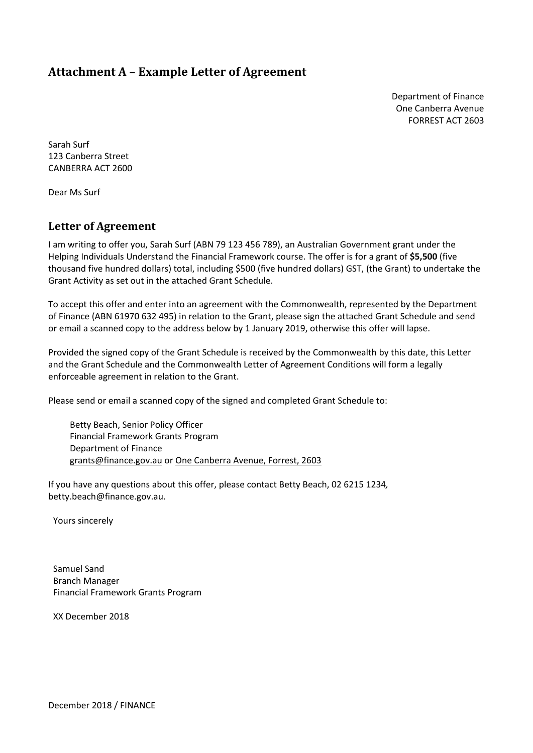## **Attachment A – Example Letter of Agreement**

Department of Finance One Canberra Avenue FORREST ACT 2603

Sarah Surf 123 Canberra Street CANBERRA ACT 2600

Dear Ms Surf

### **Letter of Agreement**

I am writing to offer you, Sarah Surf (ABN 79 123 456 789), an Australian Government grant under the Helping Individuals Understand the Financial Framework course. The offer is for a grant of **\$5,500** (five thousand five hundred dollars) total, including \$500 (five hundred dollars) GST, (the Grant) to undertake the Grant Activity as set out in the attached Grant Schedule.

To accept this offer and enter into an agreement with the Commonwealth, represented by the Department of Finance (ABN 61970 632 495) in relation to the Grant, please sign the attached Grant Schedule and send or email a scanned copy to the address below by 1 January 2019, otherwise this offer will lapse.

Provided the signed copy of the Grant Schedule is received by the Commonwealth by this date, this Letter and the Grant Schedule and the Commonwealth Letter of Agreement Conditions will form a legally enforceable agreement in relation to the Grant.

Please send or email a scanned copy of the signed and completed Grant Schedule to:

Betty Beach, Senior Policy Officer Financial Framework Grants Program Department of Finance grants@finance.gov.au or One Canberra Avenue, Forrest, 2603

If you have any questions about this offer, please contact Betty Beach, 02 6215 1234*,* betty.beach@finance.gov.au.

Yours sincerely

Samuel Sand Branch Manager Financial Framework Grants Program

XX December 2018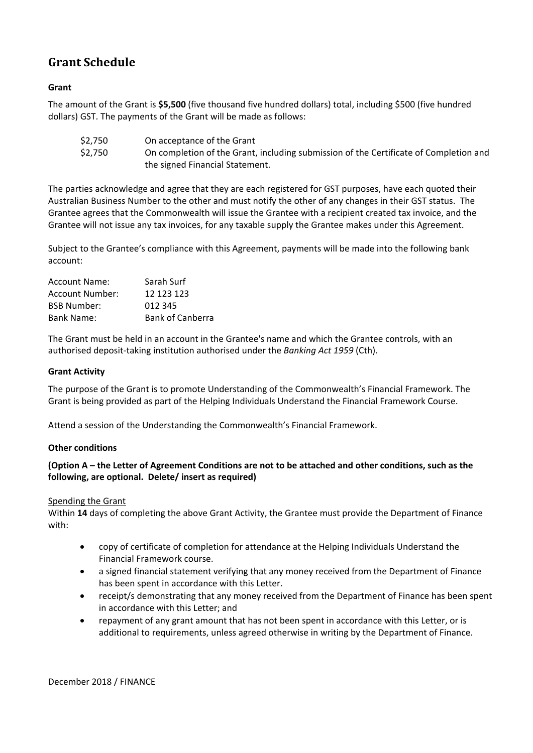# **Grant Schedule**

### **Grant**

The amount of the Grant is **\$5,500** (five thousand five hundred dollars) total, including \$500 (five hundred dollars) GST. The payments of the Grant will be made as follows:

| \$2,750 | On acceptance of the Grant                                                            |
|---------|---------------------------------------------------------------------------------------|
| \$2,750 | On completion of the Grant, including submission of the Certificate of Completion and |
|         | the signed Financial Statement.                                                       |

The parties acknowledge and agree that they are each registered for GST purposes, have each quoted their Australian Business Number to the other and must notify the other of any changes in their GST status. The Grantee agrees that the Commonwealth will issue the Grantee with a recipient created tax invoice, and the Grantee will not issue any tax invoices, for any taxable supply the Grantee makes under this Agreement.

Subject to the Grantee's compliance with this Agreement, payments will be made into the following bank account:

| Account Name:      | Sarah Surf              |
|--------------------|-------------------------|
| Account Number:    | 12 123 123              |
| <b>BSB Number:</b> | 012 345                 |
| Bank Name:         | <b>Bank of Canberra</b> |

The Grant must be held in an account in the Grantee's name and which the Grantee controls, with an authorised deposit‐taking institution authorised under the *Banking Act 1959* (Cth).

#### **Grant Activity**

The purpose of the Grant is to promote Understanding of the Commonwealth's Financial Framework. The Grant is being provided as part of the Helping Individuals Understand the Financial Framework Course.

Attend a session of the Understanding the Commonwealth's Financial Framework.

#### **Other conditions**

#### (Option A - the Letter of Agreement Conditions are not to be attached and other conditions, such as the **following, are optional. Delete/ insert as required)**

#### Spending the Grant

Within **14** days of completing the above Grant Activity, the Grantee must provide the Department of Finance with:

- copy of certificate of completion for attendance at the Helping Individuals Understand the Financial Framework course.
- a signed financial statement verifying that any money received from the Department of Finance has been spent in accordance with this Letter.
- receipt/s demonstrating that any money received from the Department of Finance has been spent in accordance with this Letter; and
- repayment of any grant amount that has not been spent in accordance with this Letter, or is additional to requirements, unless agreed otherwise in writing by the Department of Finance.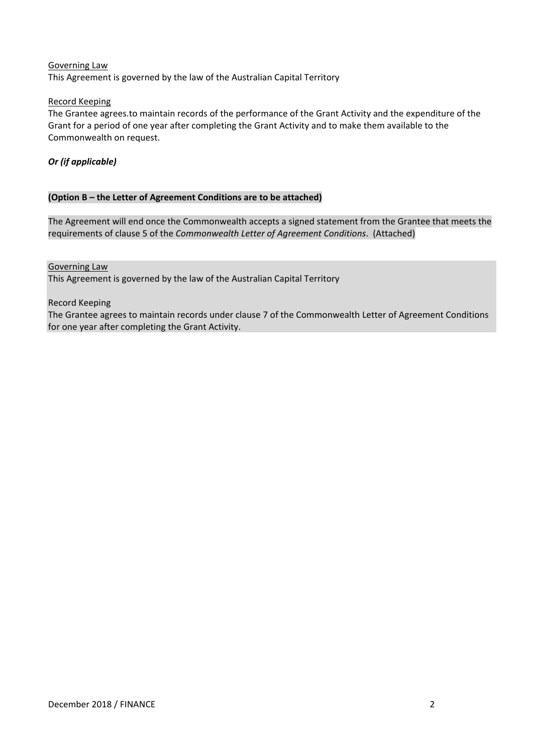#### Governing Law

This Agreement is governed by the law of the Australian Capital Territory

#### Record Keeping

The Grantee agrees.to maintain records of the performance of the Grant Activity and the expenditure of the Grant for a period of one year after completing the Grant Activity and to make them available to the Commonwealth on request.

#### *Or (if applicable)*

#### **(Option B – the Letter of Agreement Conditions are to be attached)**

The Agreement will end once the Commonwealth accepts a signed statement from the Grantee that meets the requirements of clause 5 of the *Commonwealth Letter of Agreement Conditions*. (Attached)

#### Governing Law

This Agreement is governed by the law of the Australian Capital Territory

#### Record Keeping

The Grantee agrees to maintain records under clause 7 of the Commonwealth Letter of Agreement Conditions for one year after completing the Grant Activity.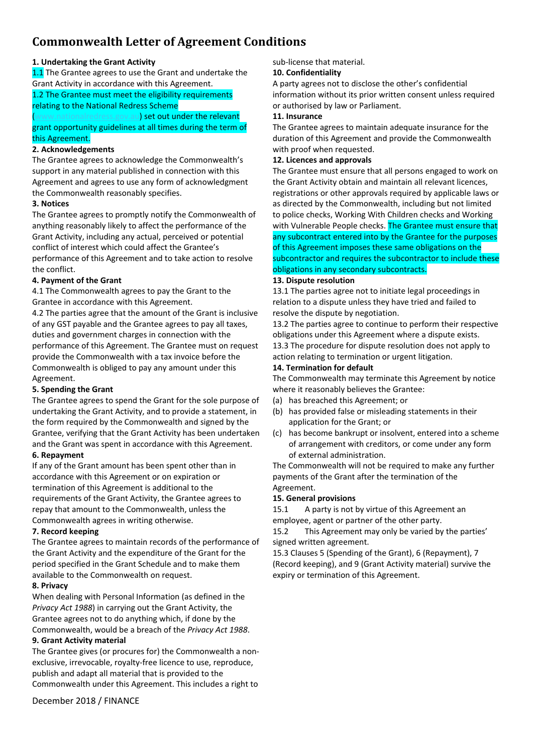# **Commonwealth Letter of Agreement Conditions**

#### **1. Undertaking the Grant Activity**

1.1 The Grantee agrees to use the Grant and undertake the Grant Activity in accordance with this Agreement.

#### 1.2 The Grantee must meet the eligibility requirements relating to the National Redress Scheme

u) set out under the relevant grant opportunity guidelines at all times during the term of this Agreement.

#### **2. Acknowledgements**

The Grantee agrees to acknowledge the Commonwealth's support in any material published in connection with this Agreement and agrees to use any form of acknowledgment the Commonwealth reasonably specifies.

#### **3. Notices**

The Grantee agrees to promptly notify the Commonwealth of anything reasonably likely to affect the performance of the Grant Activity, including any actual, perceived or potential conflict of interest which could affect the Grantee's performance of this Agreement and to take action to resolve the conflict.

#### **4. Payment of the Grant**

4.1 The Commonwealth agrees to pay the Grant to the Grantee in accordance with this Agreement.

4.2 The parties agree that the amount of the Grant is inclusive of any GST payable and the Grantee agrees to pay all taxes, duties and government charges in connection with the performance of this Agreement. The Grantee must on request provide the Commonwealth with a tax invoice before the Commonwealth is obliged to pay any amount under this Agreement.

#### **5. Spending the Grant**

The Grantee agrees to spend the Grant for the sole purpose of undertaking the Grant Activity, and to provide a statement, in the form required by the Commonwealth and signed by the Grantee, verifying that the Grant Activity has been undertaken and the Grant was spent in accordance with this Agreement. **6. Repayment**

If any of the Grant amount has been spent other than in accordance with this Agreement or on expiration or termination of this Agreement is additional to the requirements of the Grant Activity, the Grantee agrees to repay that amount to the Commonwealth, unless the Commonwealth agrees in writing otherwise.

#### **7. Record keeping**

The Grantee agrees to maintain records of the performance of the Grant Activity and the expenditure of the Grant for the period specified in the Grant Schedule and to make them available to the Commonwealth on request.

#### **8. Privacy**

When dealing with Personal Information (as defined in the *Privacy Act 1988*) in carrying out the Grant Activity, the Grantee agrees not to do anything which, if done by the Commonwealth, would be a breach of the *Privacy Act 1988*.

#### **9. Grant Activity material**

The Grantee gives (or procures for) the Commonwealth a non‐ exclusive, irrevocable, royalty-free licence to use, reproduce, publish and adapt all material that is provided to the Commonwealth under this Agreement. This includes a right to

December 2018 / FINANCE

#### sub‐license that material.

#### **10. Confidentiality**

A party agrees not to disclose the other's confidential information without its prior written consent unless required or authorised by law or Parliament.

#### **11. Insurance**

The Grantee agrees to maintain adequate insurance for the duration of this Agreement and provide the Commonwealth with proof when requested.

#### **12. Licences and approvals**

The Grantee must ensure that all persons engaged to work on the Grant Activity obtain and maintain all relevant licences, registrations or other approvals required by applicable laws or as directed by the Commonwealth, including but not limited to police checks, Working With Children checks and Working with Vulnerable People checks. The Grantee must ensure that any subcontract entered into by the Grantee for the purposes of this Agreement imposes these same obligations on the subcontractor and requires the subcontractor to include these obligations in any secondary subcontracts.

#### **13. Dispute resolution**

13.1 The parties agree not to initiate legal proceedings in relation to a dispute unless they have tried and failed to resolve the dispute by negotiation.

13.2 The parties agree to continue to perform their respective obligations under this Agreement where a dispute exists. 13.3 The procedure for dispute resolution does not apply to action relating to termination or urgent litigation.

#### **14. Termination for default**

The Commonwealth may terminate this Agreement by notice where it reasonably believes the Grantee:

- (a) has breached this Agreement; or
- (b) has provided false or misleading statements in their application for the Grant; or
- (c) has become bankrupt or insolvent, entered into a scheme of arrangement with creditors, or come under any form of external administration.

The Commonwealth will not be required to make any further payments of the Grant after the termination of the Agreement.

#### **15. General provisions**

15.1 A party is not by virtue of this Agreement an employee, agent or partner of the other party.

15.2 This Agreement may only be varied by the parties' signed written agreement.

15.3 Clauses 5 (Spending of the Grant), 6 (Repayment), 7 (Record keeping), and 9 (Grant Activity material) survive the expiry or termination of this Agreement.